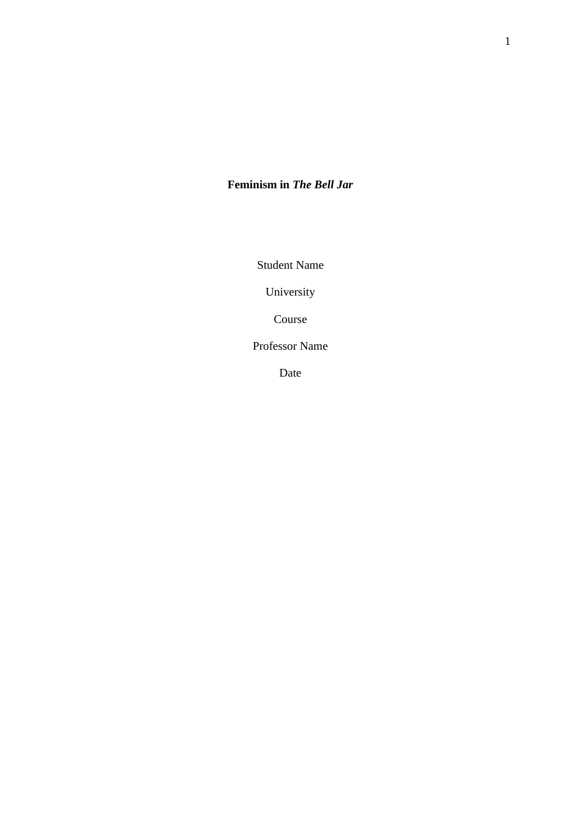# **Feminism in** *The Bell Jar*

Student Name

University

Course

Professor Name

Date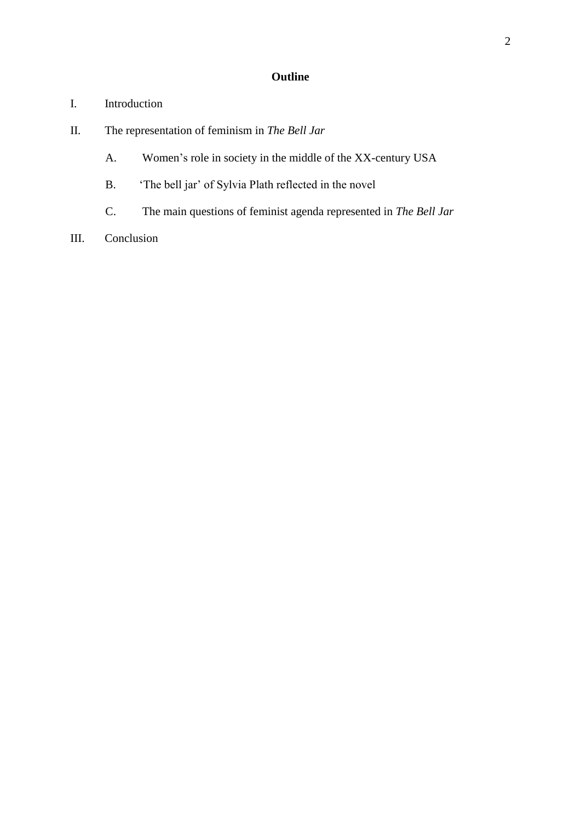# **Outline**

- I. Introduction
- II. The representation of feminism in *The Bell Jar*
	- A. Women's role in society in the middle of the XX-century USA
	- B. 'The bell jar' of Sylvia Plath reflected in the novel
	- C. The main questions of feminist agenda represented in *The Bell Jar*
- III. Conclusion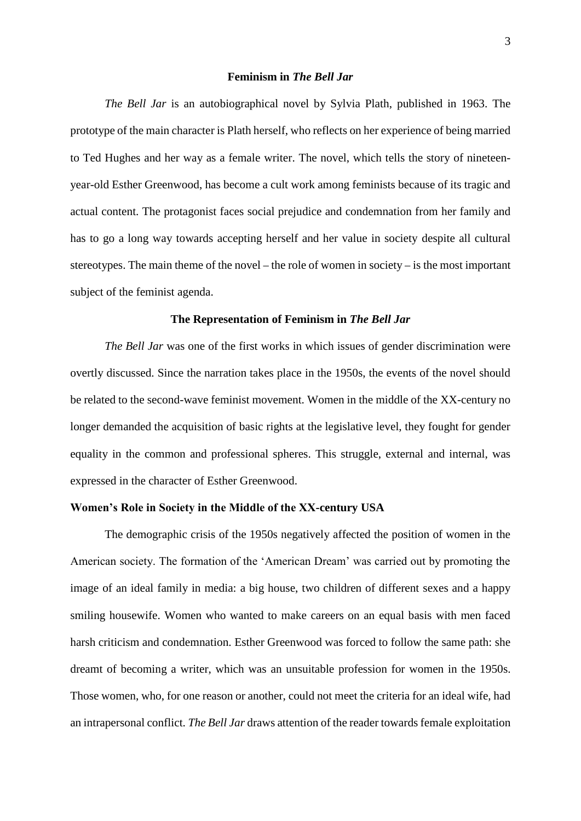#### **Feminism in** *The Bell Jar*

*The Bell Jar* is an autobiographical novel by Sylvia Plath, published in 1963. The prototype of the main character is Plath herself, who reflects on her experience of being married to Ted Hughes and her way as a female writer. The novel, which tells the story of nineteenyear-old Esther Greenwood, has become a cult work among feminists because of its tragic and actual content. The protagonist faces social prejudice and condemnation from her family and has to go a long way towards accepting herself and her value in society despite all cultural stereotypes. The main theme of the novel – the role of women in society – is the most important subject of the feminist agenda.

#### **The Representation of Feminism in** *The Bell Jar*

*The Bell Jar* was one of the first works in which issues of gender discrimination were overtly discussed. Since the narration takes place in the 1950s, the events of the novel should be related to the second-wave feminist movement. Women in the middle of the XX-century no longer demanded the acquisition of basic rights at the legislative level, they fought for gender equality in the common and professional spheres. This struggle, external and internal, was expressed in the character of Esther Greenwood.

## **Women's Role in Society in the Middle of the XX-century USA**

The demographic crisis of the 1950s negatively affected the position of women in the American society. The formation of the 'American Dream' was carried out by promoting the image of an ideal family in media: a big house, two children of different sexes and a happy smiling housewife. Women who wanted to make careers on an equal basis with men faced harsh criticism and condemnation. Esther Greenwood was forced to follow the same path: she dreamt of becoming a writer, which was an unsuitable profession for women in the 1950s. Those women, who, for one reason or another, could not meet the criteria for an ideal wife, had an intrapersonal conflict. *The Bell Jar* draws attention of the reader towards female exploitation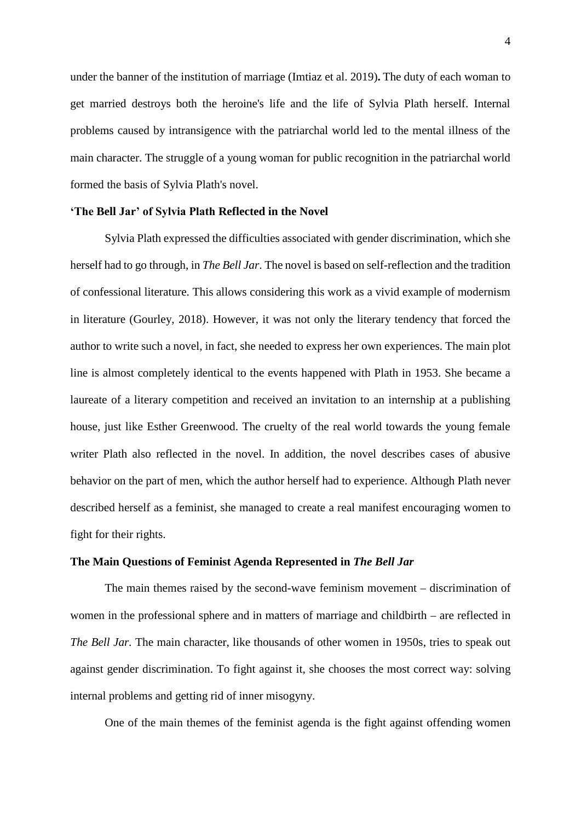under the banner of the institution of marriage (Imtiaz et al. 2019)**.** The duty of each woman to get married destroys both the heroine's life and the life of Sylvia Plath herself. Internal problems caused by intransigence with the patriarchal world led to the mental illness of the main character. The struggle of a young woman for public recognition in the patriarchal world formed the basis of Sylvia Plath's novel.

### **'The Bell Jar' of Sylvia Plath Reflected in the Novel**

Sylvia Plath expressed the difficulties associated with gender discrimination, which she herself had to go through, in *The Bell Jar*. The novel is based on self-reflection and the tradition of confessional literature. This allows considering this work as a vivid example of modernism in literature (Gourley, 2018). However, it was not only the literary tendency that forced the author to write such a novel, in fact, she needed to express her own experiences. The main plot line is almost completely identical to the events happened with Plath in 1953. She became a laureate of a literary competition and received an invitation to an internship at a publishing house, just like Esther Greenwood. The cruelty of the real world towards the young female writer Plath also reflected in the novel. In addition, the novel describes cases of abusive behavior on the part of men, which the author herself had to experience. Although Plath never described herself as a feminist, she managed to create a real manifest encouraging women to fight for their rights.

## **The Main Questions of Feminist Agenda Represented in** *The Bell Jar*

The main themes raised by the second-wave feminism movement – discrimination of women in the professional sphere and in matters of marriage and childbirth – are reflected in *The Bell Jar.* The main character, like thousands of other women in 1950s, tries to speak out against gender discrimination. To fight against it, she chooses the most correct way: solving internal problems and getting rid of inner misogyny.

One of the main themes of the feminist agenda is the fight against offending women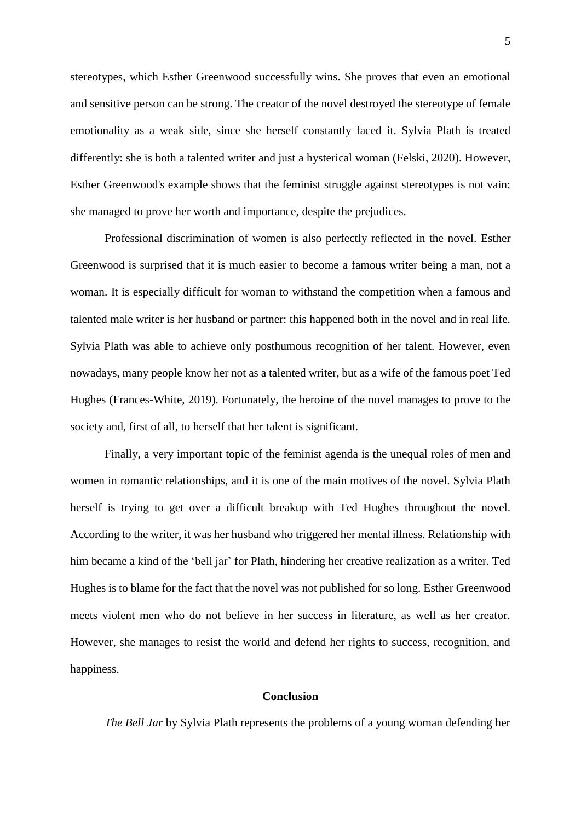stereotypes, which Esther Greenwood successfully wins. She proves that even an emotional and sensitive person can be strong. The creator of the novel destroyed the stereotype of female emotionality as a weak side, since she herself constantly faced it. Sylvia Plath is treated differently: she is both a talented writer and just a hysterical woman (Felski, 2020). However, Esther Greenwood's example shows that the feminist struggle against stereotypes is not vain: she managed to prove her worth and importance, despite the prejudices.

Professional discrimination of women is also perfectly reflected in the novel. Esther Greenwood is surprised that it is much easier to become a famous writer being a man, not a woman. It is especially difficult for woman to withstand the competition when a famous and talented male writer is her husband or partner: this happened both in the novel and in real life. Sylvia Plath was able to achieve only posthumous recognition of her talent. However, even nowadays, many people know her not as a talented writer, but as a wife of the famous poet Ted Hughes (Frances-White, 2019). Fortunately, the heroine of the novel manages to prove to the society and, first of all, to herself that her talent is significant.

Finally, a very important topic of the feminist agenda is the unequal roles of men and women in romantic relationships, and it is one of the main motives of the novel. Sylvia Plath herself is trying to get over a difficult breakup with Ted Hughes throughout the novel. According to the writer, it was her husband who triggered her mental illness. Relationship with him became a kind of the 'bell jar' for Plath, hindering her creative realization as a writer. Ted Hughes is to blame for the fact that the novel was not published for so long. Esther Greenwood meets violent men who do not believe in her success in literature, as well as her creator. However, she manages to resist the world and defend her rights to success, recognition, and happiness.

#### **Conclusion**

*The Bell Jar* by Sylvia Plath represents the problems of a young woman defending her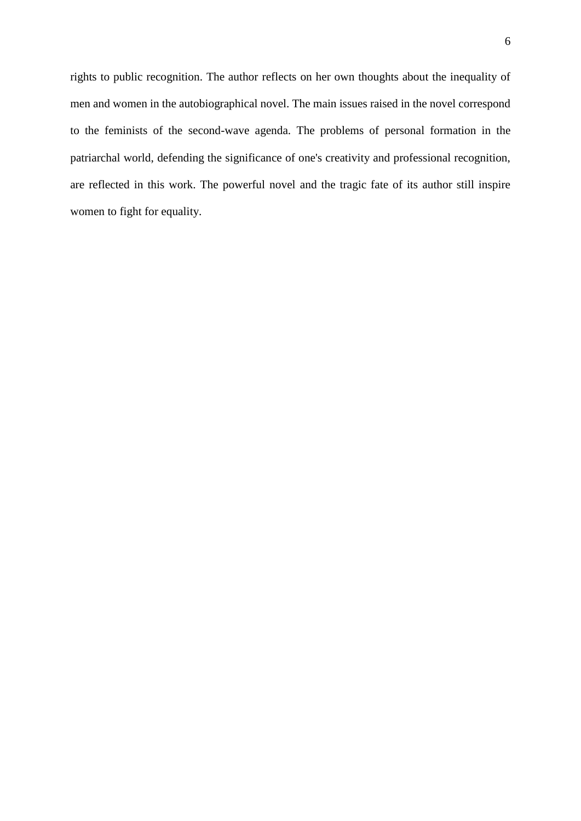rights to public recognition. The author reflects on her own thoughts about the inequality of men and women in the autobiographical novel. The main issues raised in the novel correspond to the feminists of the second-wave agenda. The problems of personal formation in the patriarchal world, defending the significance of one's creativity and professional recognition, are reflected in this work. The powerful novel and the tragic fate of its author still inspire women to fight for equality.